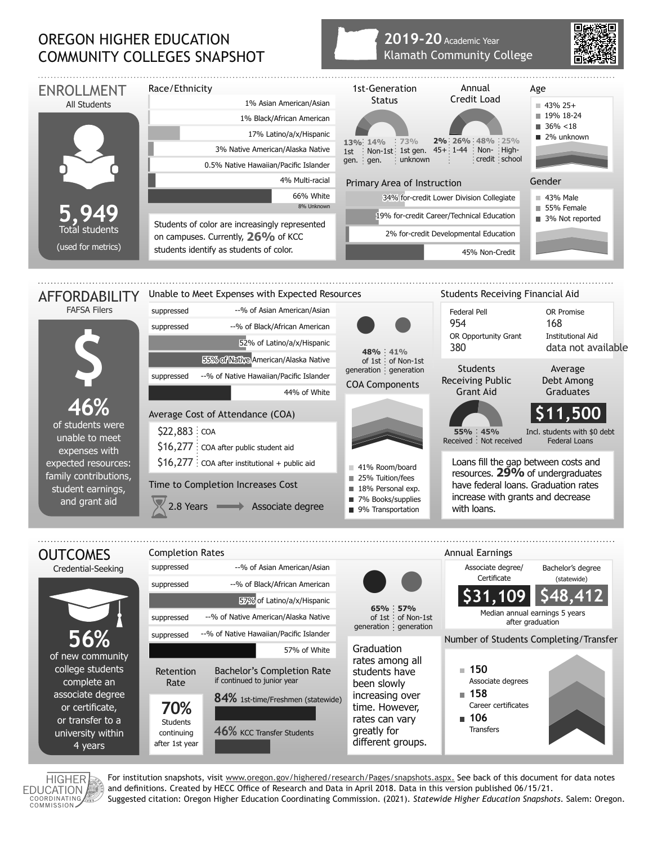## OREGON HIGHER EDUCATION COMMUNITY COLLEGES SNAPSHOT

## **2019-20** Academic Year Klamath Community College





associate degree or certificate, or transfer to a university within 4 years

**70% Students** continuing after 1st year

**46%** KCC Transfer Students

HIGHER **EDUCATION** COORDINATING

For institution snapshots, visit www.oregon.gov/highered/research/Pages/snapshots.aspx. See back of this document for data notes and definitions. Created by HECC Office of Research and Data in April 2018. Data in this version published 06/15/21. Suggested citation: Oregon Higher Education Coordinating Commission. (2021). *Statewide Higher Education Snapshots*. Salem: Oregon.

time. However, rates can vary greatly for different groups. Career certificates

 **106 Transfers**